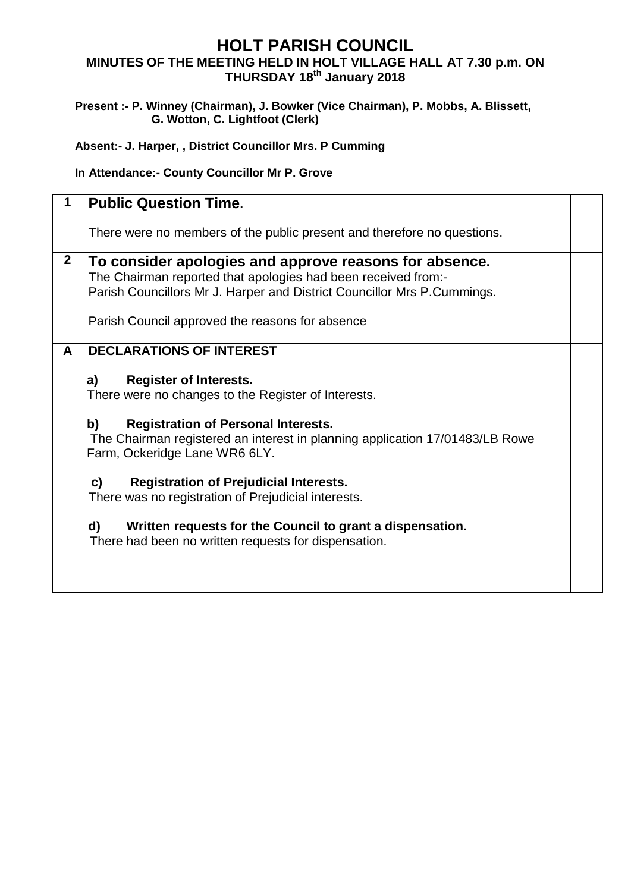## **HOLT PARISH COUNCIL MINUTES OF THE MEETING HELD IN HOLT VILLAGE HALL AT 7.30 p.m. ON THURSDAY 18 th January 2018**

## **Present :- P. Winney (Chairman), J. Bowker (Vice Chairman), P. Mobbs, A. Blissett, G. Wotton, C. Lightfoot (Clerk)**

**Absent:- J. Harper, , District Councillor Mrs. P Cumming**

**In Attendance:- County Councillor Mr P. Grove**

|              | <b>Public Question Time.</b>                                                                                                                                                                                                                                                                                                                                                                                                                                                                                                                |  |
|--------------|---------------------------------------------------------------------------------------------------------------------------------------------------------------------------------------------------------------------------------------------------------------------------------------------------------------------------------------------------------------------------------------------------------------------------------------------------------------------------------------------------------------------------------------------|--|
|              | There were no members of the public present and therefore no questions.                                                                                                                                                                                                                                                                                                                                                                                                                                                                     |  |
| $\mathbf{2}$ | To consider apologies and approve reasons for absence.<br>The Chairman reported that apologies had been received from:-<br>Parish Councillors Mr J. Harper and District Councillor Mrs P.Cummings.<br>Parish Council approved the reasons for absence                                                                                                                                                                                                                                                                                       |  |
| A            | <b>DECLARATIONS OF INTEREST</b><br><b>Register of Interests.</b><br>a)<br>There were no changes to the Register of Interests.<br><b>Registration of Personal Interests.</b><br>b)<br>The Chairman registered an interest in planning application 17/01483/LB Rowe<br>Farm, Ockeridge Lane WR6 6LY.<br><b>Registration of Prejudicial Interests.</b><br>c)<br>There was no registration of Prejudicial interests.<br>d)<br>Written requests for the Council to grant a dispensation.<br>There had been no written requests for dispensation. |  |
|              |                                                                                                                                                                                                                                                                                                                                                                                                                                                                                                                                             |  |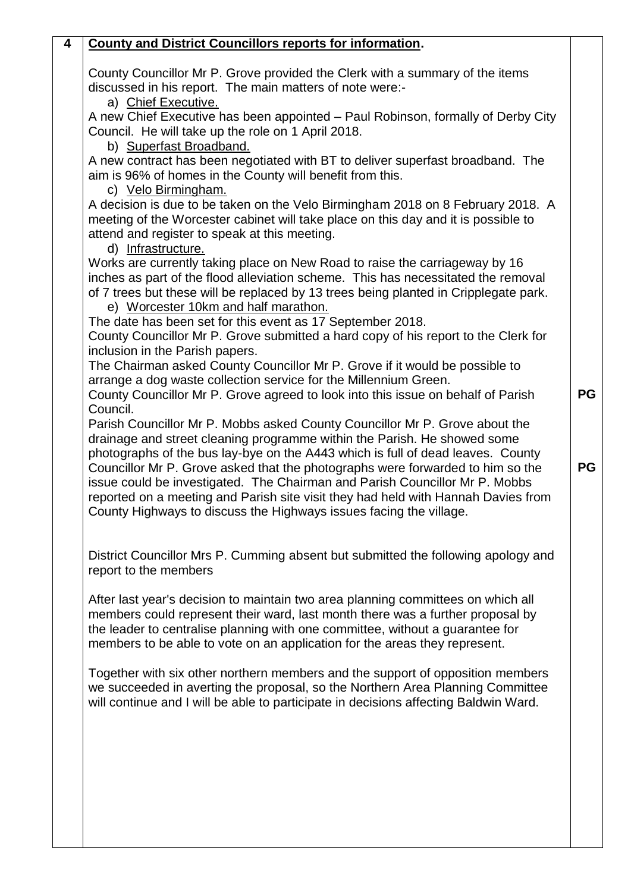## **4 County and District Councillors reports for information.**

County Councillor Mr P. Grove provided the Clerk with a summary of the items discussed in his report. The main matters of note were:-

a) Chief Executive.

A new Chief Executive has been appointed – Paul Robinson, formally of Derby City Council. He will take up the role on 1 April 2018.

b) Superfast Broadband.

A new contract has been negotiated with BT to deliver superfast broadband. The aim is 96% of homes in the County will benefit from this.

c) Velo Birmingham.

A decision is due to be taken on the Velo Birmingham 2018 on 8 February 2018. A meeting of the Worcester cabinet will take place on this day and it is possible to attend and register to speak at this meeting.

d) Infrastructure.

Works are currently taking place on New Road to raise the carriageway by 16 inches as part of the flood alleviation scheme. This has necessitated the removal of 7 trees but these will be replaced by 13 trees being planted in Cripplegate park.

e) Worcester 10km and half marathon.

The date has been set for this event as 17 September 2018. County Councillor Mr P. Grove submitted a hard copy of his report to the Clerk for

inclusion in the Parish papers. The Chairman asked County Councillor Mr P. Grove if it would be possible to arrange a dog waste collection service for the Millennium Green.

County Councillor Mr P. Grove agreed to look into this issue on behalf of Parish Council.

Parish Councillor Mr P. Mobbs asked County Councillor Mr P. Grove about the drainage and street cleaning programme within the Parish. He showed some photographs of the bus lay-bye on the A443 which is full of dead leaves. County Councillor Mr P. Grove asked that the photographs were forwarded to him so the issue could be investigated. The Chairman and Parish Councillor Mr P. Mobbs reported on a meeting and Parish site visit they had held with Hannah Davies from County Highways to discuss the Highways issues facing the village.

District Councillor Mrs P. Cumming absent but submitted the following apology and report to the members

After last year's decision to maintain two area planning committees on which all members could represent their ward, last month there was a further proposal by the leader to centralise planning with one committee, without a guarantee for members to be able to vote on an application for the areas they represent.

Together with six other northern members and the support of opposition members we succeeded in averting the proposal, so the Northern Area Planning Committee will continue and I will be able to participate in decisions affecting Baldwin Ward.

**PG**

**PG**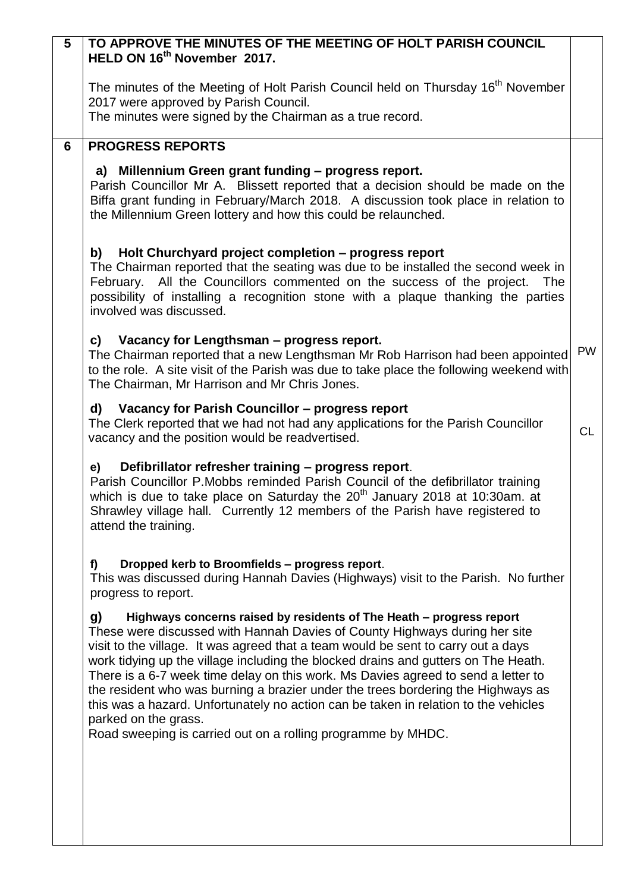| 5              | TO APPROVE THE MINUTES OF THE MEETING OF HOLT PARISH COUNCIL<br>HELD ON 16 <sup>th</sup> November 2017.                                                                                                                                                                                                                                                                                                                                                                                                                                                                                                                     |           |
|----------------|-----------------------------------------------------------------------------------------------------------------------------------------------------------------------------------------------------------------------------------------------------------------------------------------------------------------------------------------------------------------------------------------------------------------------------------------------------------------------------------------------------------------------------------------------------------------------------------------------------------------------------|-----------|
|                |                                                                                                                                                                                                                                                                                                                                                                                                                                                                                                                                                                                                                             |           |
|                | The minutes of the Meeting of Holt Parish Council held on Thursday 16 <sup>th</sup> November<br>2017 were approved by Parish Council.                                                                                                                                                                                                                                                                                                                                                                                                                                                                                       |           |
|                | The minutes were signed by the Chairman as a true record.                                                                                                                                                                                                                                                                                                                                                                                                                                                                                                                                                                   |           |
| $6\phantom{1}$ | <b>PROGRESS REPORTS</b>                                                                                                                                                                                                                                                                                                                                                                                                                                                                                                                                                                                                     |           |
|                | a) Millennium Green grant funding - progress report.<br>Parish Councillor Mr A. Blissett reported that a decision should be made on the<br>Biffa grant funding in February/March 2018. A discussion took place in relation to<br>the Millennium Green lottery and how this could be relaunched.                                                                                                                                                                                                                                                                                                                             |           |
|                | Holt Churchyard project completion - progress report<br>b)<br>The Chairman reported that the seating was due to be installed the second week in<br>February. All the Councillors commented on the success of the project.<br>The<br>possibility of installing a recognition stone with a plaque thanking the parties<br>involved was discussed.                                                                                                                                                                                                                                                                             |           |
|                | c) Vacancy for Lengthsman – progress report.<br>The Chairman reported that a new Lengthsman Mr Rob Harrison had been appointed<br>to the role. A site visit of the Parish was due to take place the following weekend with<br>The Chairman, Mr Harrison and Mr Chris Jones.                                                                                                                                                                                                                                                                                                                                                 | <b>PW</b> |
|                | Vacancy for Parish Councillor - progress report<br>d)<br>The Clerk reported that we had not had any applications for the Parish Councillor<br>vacancy and the position would be readvertised.                                                                                                                                                                                                                                                                                                                                                                                                                               | <b>CL</b> |
|                | Defibrillator refresher training - progress report.<br>e)<br>Parish Councillor P.Mobbs reminded Parish Council of the defibrillator training<br>which is due to take place on Saturday the 20 <sup>th</sup> January 2018 at 10:30am. at<br>Shrawley village hall. Currently 12 members of the Parish have registered to<br>attend the training.                                                                                                                                                                                                                                                                             |           |
|                | Dropped kerb to Broomfields - progress report.<br>f)<br>This was discussed during Hannah Davies (Highways) visit to the Parish. No further<br>progress to report.                                                                                                                                                                                                                                                                                                                                                                                                                                                           |           |
|                | Highways concerns raised by residents of The Heath - progress report<br>g)<br>These were discussed with Hannah Davies of County Highways during her site<br>visit to the village. It was agreed that a team would be sent to carry out a days<br>work tidying up the village including the blocked drains and gutters on The Heath.<br>There is a 6-7 week time delay on this work. Ms Davies agreed to send a letter to<br>the resident who was burning a brazier under the trees bordering the Highways as<br>this was a hazard. Unfortunately no action can be taken in relation to the vehicles<br>parked on the grass. |           |
|                | Road sweeping is carried out on a rolling programme by MHDC.                                                                                                                                                                                                                                                                                                                                                                                                                                                                                                                                                                |           |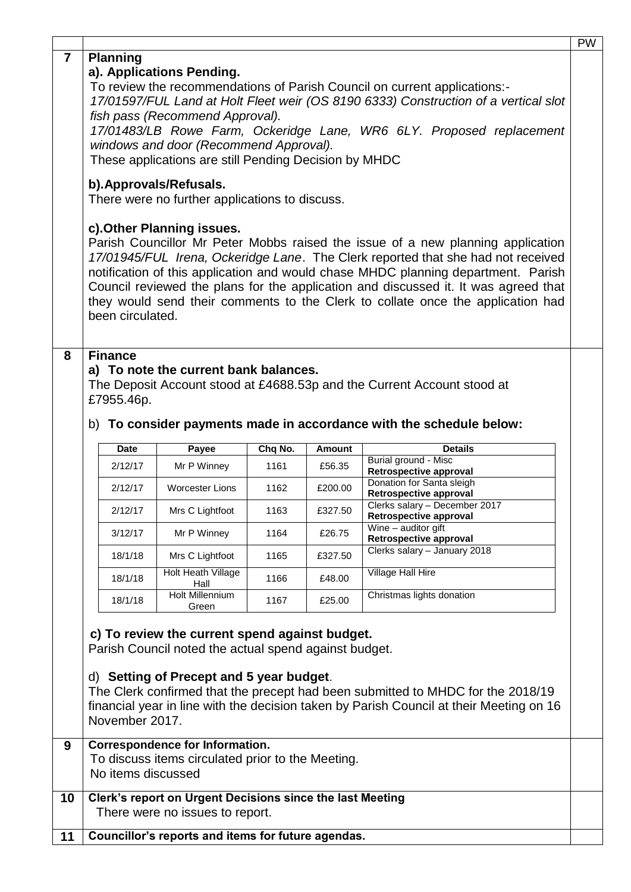|                |                                                                                                                                                                                                                                                                                                                                                                                                                                                                                      |                        |                                                                                                                                                     |                 |                         |                                                                                                                                                                            | <b>PW</b> |  |
|----------------|--------------------------------------------------------------------------------------------------------------------------------------------------------------------------------------------------------------------------------------------------------------------------------------------------------------------------------------------------------------------------------------------------------------------------------------------------------------------------------------|------------------------|-----------------------------------------------------------------------------------------------------------------------------------------------------|-----------------|-------------------------|----------------------------------------------------------------------------------------------------------------------------------------------------------------------------|-----------|--|
| $\overline{7}$ | <b>Planning</b><br>a). Applications Pending.<br>To review the recommendations of Parish Council on current applications:-<br>17/01597/FUL Land at Holt Fleet weir (OS 8190 6333) Construction of a vertical slot<br>fish pass (Recommend Approval).                                                                                                                                                                                                                                  |                        |                                                                                                                                                     |                 |                         |                                                                                                                                                                            |           |  |
|                | 17/01483/LB Rowe Farm, Ockeridge Lane, WR6 6LY. Proposed replacement<br>windows and door (Recommend Approval).<br>These applications are still Pending Decision by MHDC                                                                                                                                                                                                                                                                                                              |                        |                                                                                                                                                     |                 |                         |                                                                                                                                                                            |           |  |
|                | b). Approvals/Refusals.<br>There were no further applications to discuss.                                                                                                                                                                                                                                                                                                                                                                                                            |                        |                                                                                                                                                     |                 |                         |                                                                                                                                                                            |           |  |
|                | c). Other Planning issues.<br>Parish Councillor Mr Peter Mobbs raised the issue of a new planning application<br>17/01945/FUL Irena, Ockeridge Lane. The Clerk reported that she had not received<br>notification of this application and would chase MHDC planning department. Parish<br>Council reviewed the plans for the application and discussed it. It was agreed that<br>they would send their comments to the Clerk to collate once the application had<br>been circulated. |                        |                                                                                                                                                     |                 |                         |                                                                                                                                                                            |           |  |
| 8              |                                                                                                                                                                                                                                                                                                                                                                                                                                                                                      |                        |                                                                                                                                                     |                 |                         |                                                                                                                                                                            |           |  |
|                | <b>Finance</b><br>a) To note the current bank balances.<br>The Deposit Account stood at £4688.53p and the Current Account stood at<br>£7955.46p.<br>b) To consider payments made in accordance with the schedule below:                                                                                                                                                                                                                                                              |                        |                                                                                                                                                     |                 |                         |                                                                                                                                                                            |           |  |
|                |                                                                                                                                                                                                                                                                                                                                                                                                                                                                                      |                        |                                                                                                                                                     |                 |                         |                                                                                                                                                                            |           |  |
|                |                                                                                                                                                                                                                                                                                                                                                                                                                                                                                      |                        |                                                                                                                                                     |                 |                         |                                                                                                                                                                            |           |  |
|                |                                                                                                                                                                                                                                                                                                                                                                                                                                                                                      | <b>Date</b><br>2/12/17 | Payee<br>Mr P Winney                                                                                                                                | Chq No.<br>1161 | <b>Amount</b><br>£56.35 | <b>Details</b><br>Burial ground - Misc                                                                                                                                     |           |  |
|                |                                                                                                                                                                                                                                                                                                                                                                                                                                                                                      | 2/12/17                | <b>Worcester Lions</b>                                                                                                                              | 1162            | £200.00                 | Retrospective approval<br>Donation for Santa sleigh                                                                                                                        |           |  |
|                |                                                                                                                                                                                                                                                                                                                                                                                                                                                                                      | 2/12/17                | Mrs C Lightfoot                                                                                                                                     | 1163            | £327.50                 | Retrospective approval<br>Clerks salary - December 2017                                                                                                                    |           |  |
|                |                                                                                                                                                                                                                                                                                                                                                                                                                                                                                      | 3/12/17                | Mr P Winney                                                                                                                                         | 1164            | £26.75                  | Retrospective approval<br>Wine - auditor gift<br>Retrospective approval                                                                                                    |           |  |
|                |                                                                                                                                                                                                                                                                                                                                                                                                                                                                                      | 18/1/18                | Mrs C Lightfoot                                                                                                                                     | 1165            | £327.50                 | Clerks salary - January 2018                                                                                                                                               |           |  |
|                |                                                                                                                                                                                                                                                                                                                                                                                                                                                                                      | 18/1/18                | Holt Heath Village<br>Hall                                                                                                                          | 1166            | £48.00                  | Village Hall Hire                                                                                                                                                          |           |  |
|                |                                                                                                                                                                                                                                                                                                                                                                                                                                                                                      | 18/1/18                | <b>Holt Millennium</b><br>Green                                                                                                                     | 1167            | £25.00                  | Christmas lights donation                                                                                                                                                  |           |  |
|                |                                                                                                                                                                                                                                                                                                                                                                                                                                                                                      | November 2017.         | c) To review the current spend against budget.<br>Parish Council noted the actual spend against budget.<br>d) Setting of Precept and 5 year budget. |                 |                         | The Clerk confirmed that the precept had been submitted to MHDC for the 2018/19<br>financial year in line with the decision taken by Parish Council at their Meeting on 16 |           |  |
| 9              |                                                                                                                                                                                                                                                                                                                                                                                                                                                                                      |                        | Correspondence for Information.                                                                                                                     |                 |                         |                                                                                                                                                                            |           |  |
|                |                                                                                                                                                                                                                                                                                                                                                                                                                                                                                      | No items discussed     | To discuss items circulated prior to the Meeting.                                                                                                   |                 |                         |                                                                                                                                                                            |           |  |
| 10             |                                                                                                                                                                                                                                                                                                                                                                                                                                                                                      |                        | Clerk's report on Urgent Decisions since the last Meeting                                                                                           |                 |                         |                                                                                                                                                                            |           |  |
| 11             |                                                                                                                                                                                                                                                                                                                                                                                                                                                                                      |                        | There were no issues to report.<br>Councillor's reports and items for future agendas.                                                               |                 |                         |                                                                                                                                                                            |           |  |